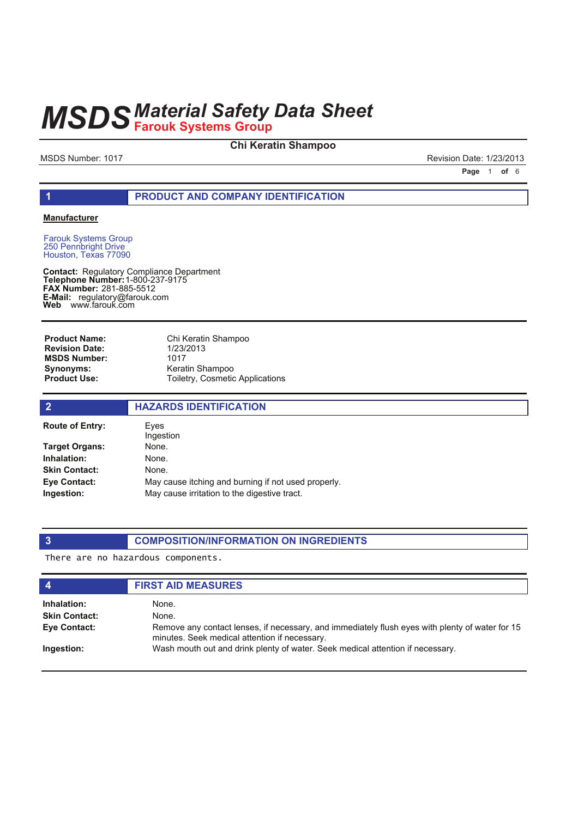### **Chi Keratin Shampoo**

MSDS Number: 1017 **Revision Date: 1/23/2013** 

**Page 1 of 6** 

#### **1 PRODUCT AND COMPANY IDENTIFICATION**

#### **Manufacturer**

Farouk Systems Group 250 Pennbright Drive Houston, Texas 77090

**Contact: Telephone Number: FAX Number:** 281-885-5512 **E-Mail: Web** Regulatory Compliance Department 1-800-237-9175 regulatory@farouk.com www.farouk.com

Chi Keratin Shampoo 1/23/2013 1017 Keratin Shampoo Toiletry, Cosmetic Applications **Product Name: Revision Date: MSDS Number: Synonyms: Product Use:**

| $\overline{2}$         | <b>HAZARDS IDENTIFICATION</b>                       |
|------------------------|-----------------------------------------------------|
| <b>Route of Entry:</b> | Eves<br>Ingestion                                   |
| Target Organs:         | None.                                               |
| Inhalation:            | None.                                               |
| <b>Skin Contact:</b>   | None.                                               |
| Eye Contact:           | May cause itching and burning if not used properly. |
| Ingestion:             | May cause irritation to the digestive tract.        |
|                        |                                                     |

### **3 COMPOSITION/INFORMATION ON INGREDIENTS**

There are no hazardous components.

| $\boldsymbol{4}$     | <b>FIRST AID MEASURES</b>                                                                                                                        |
|----------------------|--------------------------------------------------------------------------------------------------------------------------------------------------|
| Inhalation:          | None.                                                                                                                                            |
| <b>Skin Contact:</b> | None.                                                                                                                                            |
| Eye Contact:         | Remove any contact lenses, if necessary, and immediately flush eyes with plenty of water for 15<br>minutes. Seek medical attention if necessary. |
| Ingestion:           | Wash mouth out and drink plenty of water. Seek medical attention if necessary.                                                                   |
|                      |                                                                                                                                                  |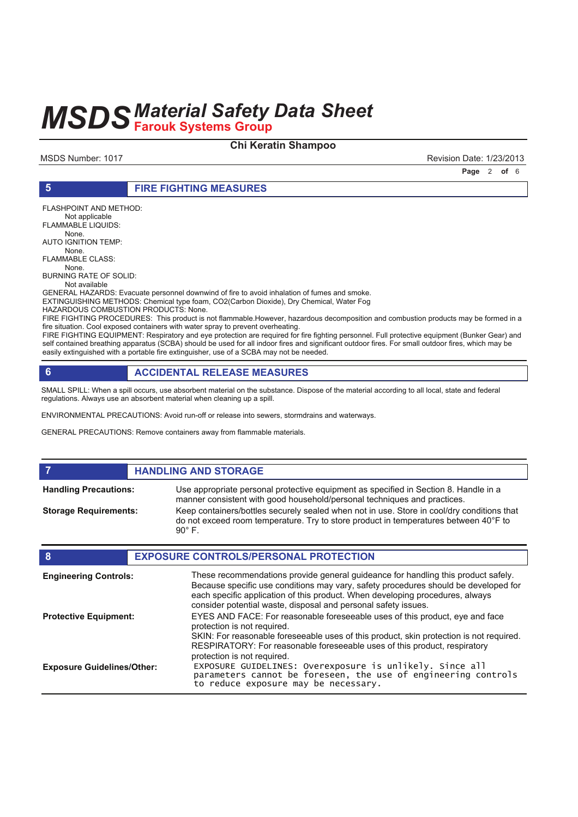#### **Chi Keratin Shampoo**

MSDS Number: 1017 **Revision Date: 1/23/2013** 

**Page 2 of 6** 

#### **5 FIRE FIGHTING MEASURES**

FLASHPOINT AND METHOD: Not applicable FLAMMABLE LIQUIDS: None. AUTO IGNITION TEMP: None. FLAMMABLE CLASS: None. BURNING RATE OF SOLID: Not available GENERAL HAZARDS: Evacuate personnel downwind of fire to avoid inhalation of fumes and smoke. EXTINGUISHING METHODS: Chemical type foam, CO2(Carbon Dioxide), Dry Chemical, Water Fog HAZARDOUS COMBUSTION PRODUCTS: None.

FIRE FIGHTING PROCEDURES: This product is not flammable.However, hazardous decomposition and combustion products may be formed in a fire situation. Cool exposed containers with water spray to prevent overheating.

FIRE FIGHTING EQUIPMENT: Respiratory and eye protection are required for fire fighting personnel. Full protective equipment (Bunker Gear) and self contained breathing apparatus (SCBA) should be used for all indoor fires and significant outdoor fires. For small outdoor fires, which may be easily extinguished with a portable fire extinguisher, use of a SCBA may not be needed.

### **6 ACCIDENTAL RELEASE MEASURES**

SMALL SPILL: When a spill occurs, use absorbent material on the substance. Dispose of the material according to all local, state and federal regulations. Always use an absorbent material when cleaning up a spill.

ENVIRONMENTAL PRECAUTIONS: Avoid run-off or release into sewers, stormdrains and waterways.

GENERAL PRECAUTIONS: Remove containers away from flammable materials.

#### **FIGURE 12 IN STORAGE**

**Handling Precautions:**

**Storage Requirements:**

Use appropriate personal protective equipment as specified in Section 8. Handle in a manner consistent with good household/personal techniques and practices. Keep containers/bottles securely sealed when not in use. Store in cool/dry conditions that do not exceed room temperature. Try to store product in temperatures between 40°F to 90° F.

| 8                                 | <b>EXPOSURE CONTROLS/PERSONAL PROTECTION</b>                                                                                                                                                                                                                                                                                |
|-----------------------------------|-----------------------------------------------------------------------------------------------------------------------------------------------------------------------------------------------------------------------------------------------------------------------------------------------------------------------------|
| <b>Engineering Controls:</b>      | These recommendations provide general guideance for handling this product safely.<br>Because specific use conditions may vary, safety procedures should be developed for<br>each specific application of this product. When developing procedures, always<br>consider potential waste, disposal and personal safety issues. |
| <b>Protective Equipment:</b>      | EYES AND FACE: For reasonable foreseeable uses of this product, eye and face<br>protection is not required.                                                                                                                                                                                                                 |
|                                   | SKIN: For reasonable foreseeable uses of this product, skin protection is not required.<br>RESPIRATORY: For reasonable foreseeable uses of this product, respiratory<br>protection is not required.                                                                                                                         |
| <b>Exposure Guidelines/Other:</b> | EXPOSURE GUIDELINES: Overexposure is unlikely. Since all<br>parameters cannot be foreseen, the use of engineering controls<br>to reduce exposure may be necessary.                                                                                                                                                          |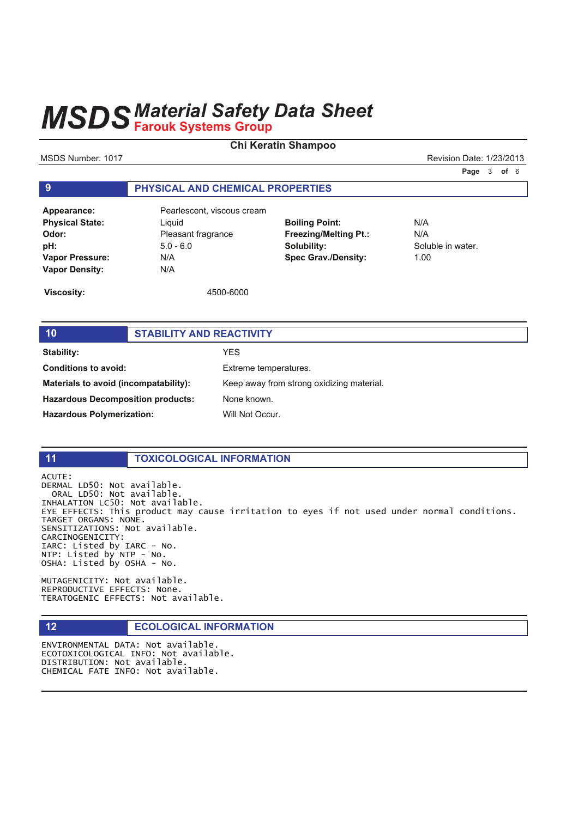### **Chi Keratin Shampoo**

MSDS Number: 1017 **Number: 1017** Revision Date: 1/23/2013

**Page 3 of 6** 

### **9 PHYSICAL AND CHEMICAL PROPERTIES**

**Physical State:** Liquid **Odor:** Pleasant fragrance **pH:** 5.0 - 6.0 **Vapor Pressure:** N/A **Vapor Density:** N/A

Appearance: Pearlescent, viscous cream

**Boiling Point:** N/A **Freezing/Melting Pt.:** N/A **Solubility:** Soluble in water. **Spec Grav./Density:** 1.00

**Viscosity:** 4500-6000

### **10 STABILITY AND REACTIVITY Stability:** YES **Conditions to avoid:** Extreme temperatures. **Materials to avoid (incompatability):** Keep away from strong oxidizing material. **Hazardous Decomposition products:** None known. **Hazardous Polymerization:** Will Not Occur.

#### **11 TOXICOLOGICAL INFORMATION**

ACUTE: DERMAL LD50: Not available. ORAL LD50: Not available. INHALATION LC50: Not available. EYE EFFECTS: This product may cause irritation to eyes if not used under normal conditions. TARGET ORGANS: NONE. SENSITIZATIONS: Not available. CARCINOGENICITY: IARC: Listed by IARC - No.  $NTP:$  Listed by  $NTP - NO$ . OSHA: Listed by OSHA - No.

MUTAGENICITY: Not available. REPRODUCTIVE EFFECTS: None. TERATOGENIC EFFECTS: Not available.

#### **12 ECOLOGICAL INFORMATION**

ENVIRONMENTAL DATA: Not available. ECOTOXICOLOGICAL INFO: Not available. DISTRIBUTION: Not available. CHEMICAL FATE INFO: Not available.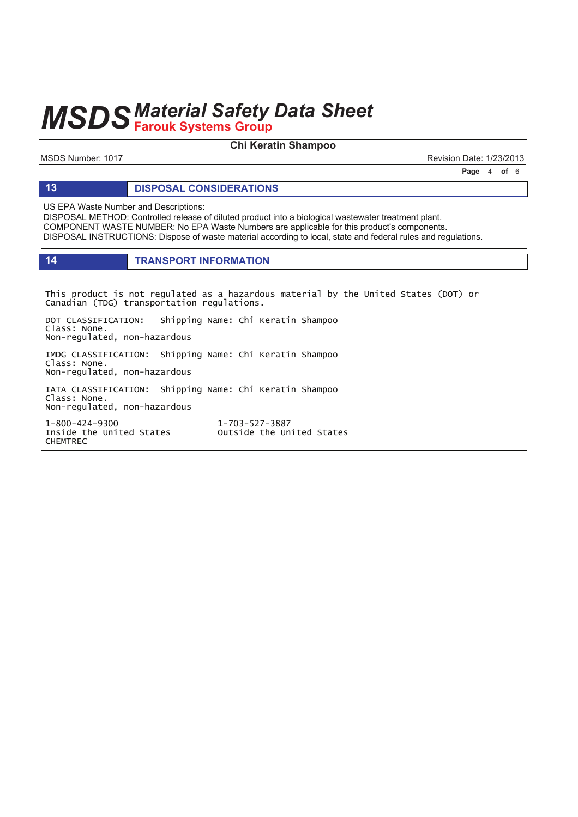### **Chi Keratin Shampoo**

MSDS Number: 1017 **Revision Date: 1/23/2013** 

**Page 4 of 6** 

#### **13 DISPOSAL CONSIDERATIONS**

US EPA Waste Number and Descriptions:

DISPOSAL METHOD: Controlled release of diluted product into a biological wastewater treatment plant. COMPONENT WASTE NUMBER: No EPA Waste Numbers are applicable for this product's components. DISPOSAL INSTRUCTIONS: Dispose of waste material according to local, state and federal rules and regulations.

#### **14 TRANSPORT INFORMATION**

This product is not regulated as a hazardous material by the United States (DOT) or Canadian (TDG) transportation regulations.

DOT CLASSIFICATION: Shipping Name: Chi Keratin Shampoo Class: None. Non-regulated, non-hazardous

IMDG CLASSIFICATION: Shipping Name: Chi Keratin Shampoo Class: None. Non-regulated, non-hazardous

IATA CLASSIFICATION: Shipping Name: Chi Keratin Shampoo Class: None. Non-regulated, non-hazardous

 $1 - 800 - 424 - 9300$  1 **CHEMTREC** 

1-703-527-3887 Inside the United States outside the United States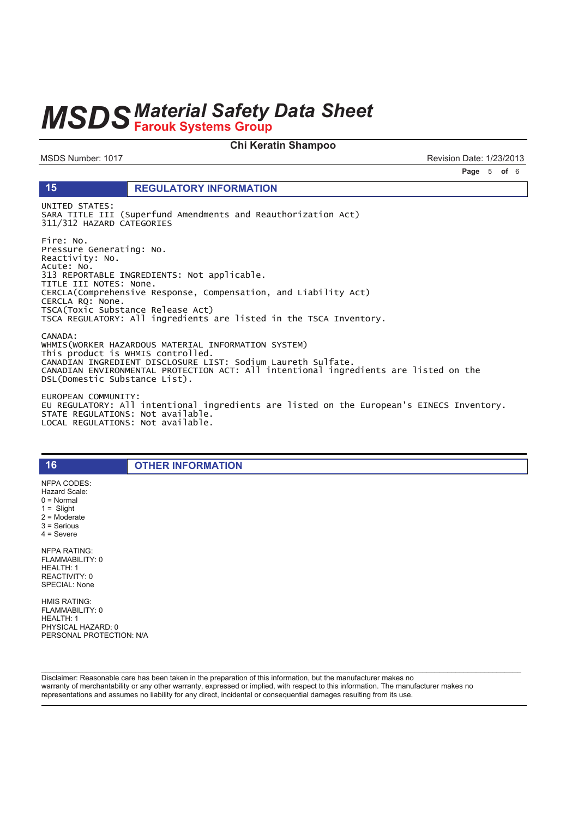#### Chi Keratin Shampoo

MSDS Number: 1017

15

Revision Date: 1/23/2013

Page 5 of 6

#### **REGULATORY INFORMATION**

UNITED STATES: SARA TITLE III (Superfund Amendments and Reauthorization Act) 311/312 HAZARD CATEGORIES

Fire: No. Pressure Generating: No. Reactivity: No. Acute: No.<br>313 REPORTABLE INGREDIENTS: Not applicable. TITLE III NOTES: None. CERCLA(Comprehensive Response, Compensation, and Liability Act) CERCLA RQ: None. TSCA(Toxic Substance Release Act) TSCA REGULATORY: All ingredients are listed in the TSCA Inventory. CANADA:

WHMIS(WORKER HAZARDOUS MATERIAL INFORMATION SYSTEM) This product is WHMIS controlled. CANADIAN INGREDIENT DISCLOSURE LIST: Sodium Laureth Sulfate. CANADIAN ENVIRONMENTAL PROTECTION ACT: All intentional ingredients are listed on the<br>DSL(Domestic Substance List).

EUROPEAN COMMUNITY: EU REGULATORY: All intentional ingredients are listed on the European's EINECS Inventory. STATE REGULATIONS: Not available.<br>LOCAL REGULATIONS: Not available.

**OTHER INFORMATION** 

NFPA CODES: Hazard Scale:  $0 = \text{Normal}$  $1 =$  Slight  $2 =$  Moderate  $3 =$  Serious  $4 =$  Severe **NFPA RATING:** FLAMMABILITY: 0  $HFAI TH·1$ REACTIVITY: 0 SPECIAL: None

16

**HMIS RATING:** FLAMMABILITY: 0 HEALTH: 1 PHYSICAL HAZARD: 0 PERSONAL PROTECTION: N/A

Disclaimer: Reasonable care has been taken in the preparation of this information, but the manufacturer makes no warranty of merchantability or any other warranty, expressed or implied, with respect to this information. The manufacturer makes no representations and assumes no liability for any direct, incidental or consequential damages resulting from its use.